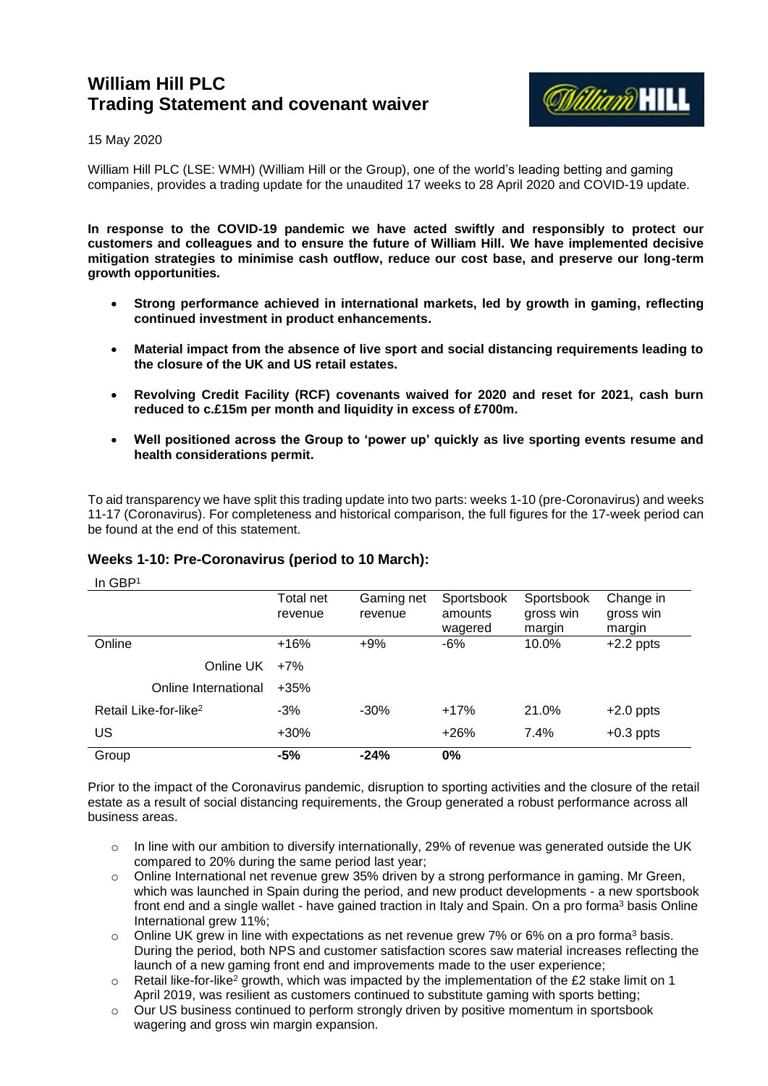# **William Hill PLC Trading Statement and covenant waiver**



## 15 May 2020

William Hill PLC (LSE: WMH) (William Hill or the Group), one of the world's leading betting and gaming companies, provides a trading update for the unaudited 17 weeks to 28 April 2020 and COVID-19 update.

**In response to the COVID-19 pandemic we have acted swiftly and responsibly to protect our customers and colleagues and to ensure the future of William Hill. We have implemented decisive mitigation strategies to minimise cash outflow, reduce our cost base, and preserve our long-term growth opportunities.**

- **Strong performance achieved in international markets, led by growth in gaming, reflecting continued investment in product enhancements.**
- **Material impact from the absence of live sport and social distancing requirements leading to the closure of the UK and US retail estates.**
- **Revolving Credit Facility (RCF) covenants waived for 2020 and reset for 2021, cash burn reduced to c.£15m per month and liquidity in excess of £700m.**
- **Well positioned across the Group to 'power up' quickly as live sporting events resume and health considerations permit.**

To aid transparency we have split this trading update into two parts: weeks 1-10 (pre-Coronavirus) and weeks 11-17 (Coronavirus). For completeness and historical comparison, the full figures for the 17-week period can be found at the end of this statement.

# **Weeks 1-10: Pre-Coronavirus (period to 10 March):**

In GBP<sup>1</sup> Total net revenue Gaming net revenue Sportsbook amounts wagered Sportsbook gross win margin Change in gross win margin Online +16% +9% -6% 10.0% +2.2 ppts Online UK +7% Online International +35% Retail Like-for-like<sup>2</sup> -3% -30% +17% 21.0% +2.0 ppts US +30% +26% 7.4% +0.3 ppts Group **-5% -24% 0%**

Prior to the impact of the Coronavirus pandemic, disruption to sporting activities and the closure of the retail estate as a result of social distancing requirements, the Group generated a robust performance across all business areas.

- $\circ$  In line with our ambition to diversify internationally, 29% of revenue was generated outside the UK compared to 20% during the same period last year;
- $\circ$  Online International net revenue grew 35% driven by a strong performance in gaming. Mr Green, which was launched in Spain during the period, and new product developments - a new sportsbook front end and a single wallet - have gained traction in Italy and Spain. On a pro forma<sup>3</sup> basis Online International grew 11%;
- o Online UK grew in line with expectations as net revenue grew 7% or 6% on a pro forma<sup>3</sup> basis. During the period, both NPS and customer satisfaction scores saw material increases reflecting the launch of a new gaming front end and improvements made to the user experience;
- $\circ$  Retail like-for-like<sup>2</sup> growth, which was impacted by the implementation of the £2 stake limit on 1 April 2019, was resilient as customers continued to substitute gaming with sports betting;
- $\circ$  Our US business continued to perform strongly driven by positive momentum in sportsbook wagering and gross win margin expansion.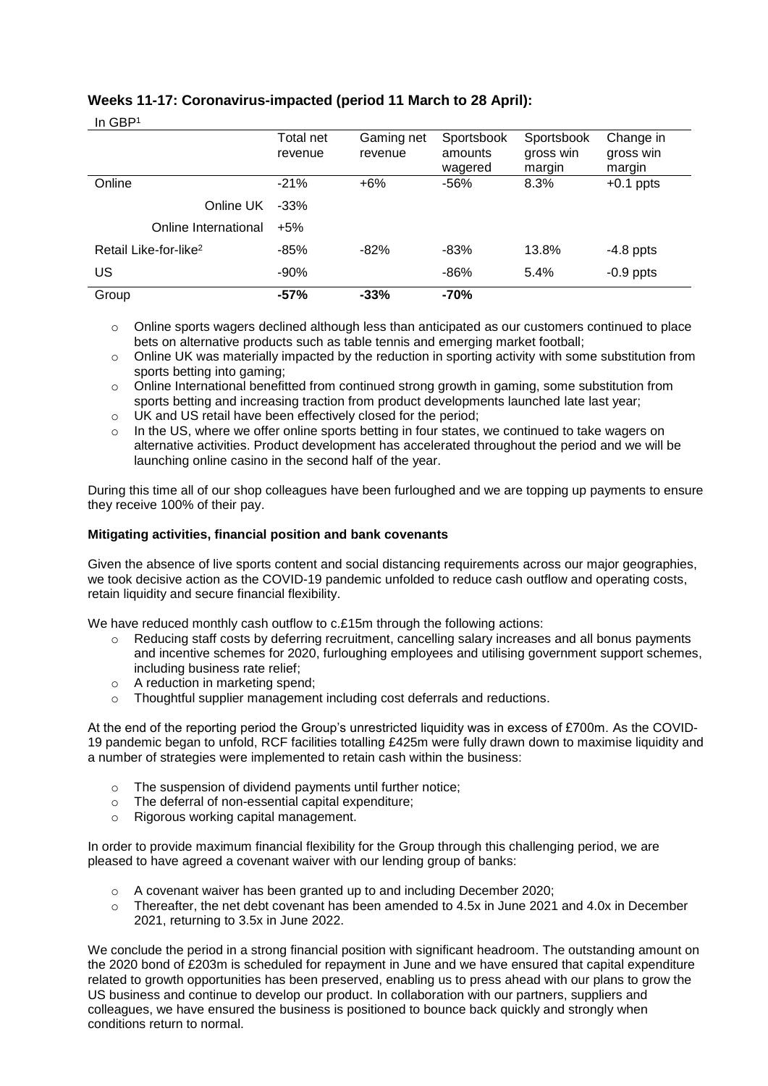# **Weeks 11-17: Coronavirus-impacted (period 11 March to 28 April):**

| v.<br>v.<br>ł<br>Ξ |
|--------------------|
|                    |

| .                                 | Total net<br>revenue | Gaming net<br>revenue | Sportsbook<br>amounts<br>wagered | Sportsbook<br>gross win<br>margin | Change in<br>gross win<br>margin |
|-----------------------------------|----------------------|-----------------------|----------------------------------|-----------------------------------|----------------------------------|
| Online                            | $-21%$               | $+6%$                 | -56%                             | 8.3%                              | $+0.1$ ppts                      |
| Online UK                         | $-33%$               |                       |                                  |                                   |                                  |
| Online International              | $+5%$                |                       |                                  |                                   |                                  |
| Retail Like-for-like <sup>2</sup> | $-85%$               | $-82%$                | -83%                             | 13.8%                             | $-4.8$ ppts                      |
| US                                | $-90%$               |                       | $-86%$                           | 5.4%                              | $-0.9$ ppts                      |
| Group                             | $-57%$               | $-33%$                | -70%                             |                                   |                                  |

 $\circ$  Online sports wagers declined although less than anticipated as our customers continued to place bets on alternative products such as table tennis and emerging market football;

- $\circ$  Online UK was materially impacted by the reduction in sporting activity with some substitution from sports betting into gaming;
- o Online International benefitted from continued strong growth in gaming, some substitution from sports betting and increasing traction from product developments launched late last year;
- o UK and US retail have been effectively closed for the period;
- $\circ$  In the US, where we offer online sports betting in four states, we continued to take wagers on alternative activities. Product development has accelerated throughout the period and we will be launching online casino in the second half of the year.

During this time all of our shop colleagues have been furloughed and we are topping up payments to ensure they receive 100% of their pay.

## **Mitigating activities, financial position and bank covenants**

Given the absence of live sports content and social distancing requirements across our major geographies, we took decisive action as the COVID-19 pandemic unfolded to reduce cash outflow and operating costs, retain liquidity and secure financial flexibility.

We have reduced monthly cash outflow to c.£15m through the following actions:

- o Reducing staff costs by deferring recruitment, cancelling salary increases and all bonus payments and incentive schemes for 2020, furloughing employees and utilising government support schemes, including business rate relief;
- o A reduction in marketing spend;
- o Thoughtful supplier management including cost deferrals and reductions.

At the end of the reporting period the Group's unrestricted liquidity was in excess of £700m. As the COVID-19 pandemic began to unfold, RCF facilities totalling £425m were fully drawn down to maximise liquidity and a number of strategies were implemented to retain cash within the business:

- o The suspension of dividend payments until further notice;
- o The deferral of non-essential capital expenditure;
- o Rigorous working capital management.

In order to provide maximum financial flexibility for the Group through this challenging period, we are pleased to have agreed a covenant waiver with our lending group of banks:

- o A covenant waiver has been granted up to and including December 2020;
- $\circ$  Thereafter, the net debt covenant has been amended to 4.5x in June 2021 and 4.0x in December 2021, returning to 3.5x in June 2022.

We conclude the period in a strong financial position with significant headroom. The outstanding amount on the 2020 bond of £203m is scheduled for repayment in June and we have ensured that capital expenditure related to growth opportunities has been preserved, enabling us to press ahead with our plans to grow the US business and continue to develop our product. In collaboration with our partners, suppliers and colleagues, we have ensured the business is positioned to bounce back quickly and strongly when conditions return to normal.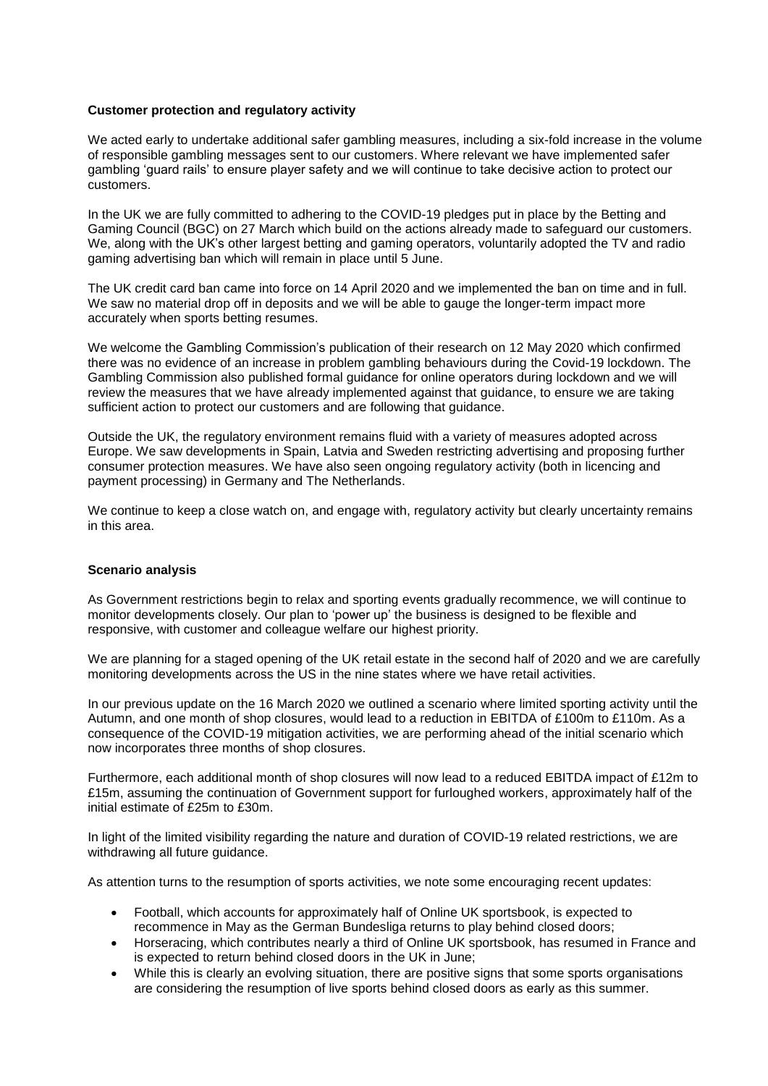## **Customer protection and regulatory activity**

We acted early to undertake additional safer gambling measures, including a six-fold increase in the volume of responsible gambling messages sent to our customers. Where relevant we have implemented safer gambling 'guard rails' to ensure player safety and we will continue to take decisive action to protect our customers.

In the UK we are fully committed to adhering to the COVID-19 pledges put in place by the Betting and Gaming Council (BGC) on 27 March which build on the actions already made to safeguard our customers. We, along with the UK's other largest betting and gaming operators, voluntarily adopted the TV and radio gaming advertising ban which will remain in place until 5 June.

The UK credit card ban came into force on 14 April 2020 and we implemented the ban on time and in full. We saw no material drop off in deposits and we will be able to gauge the longer-term impact more accurately when sports betting resumes.

We welcome the Gambling Commission's publication of their research on 12 May 2020 which confirmed there was no evidence of an increase in problem gambling behaviours during the Covid-19 lockdown. The Gambling Commission also published formal guidance for online operators during lockdown and we will review the measures that we have already implemented against that guidance, to ensure we are taking sufficient action to protect our customers and are following that guidance.

Outside the UK, the regulatory environment remains fluid with a variety of measures adopted across Europe. We saw developments in Spain, Latvia and Sweden restricting advertising and proposing further consumer protection measures. We have also seen ongoing regulatory activity (both in licencing and payment processing) in Germany and The Netherlands.

We continue to keep a close watch on, and engage with, regulatory activity but clearly uncertainty remains in this area.

# **Scenario analysis**

As Government restrictions begin to relax and sporting events gradually recommence, we will continue to monitor developments closely. Our plan to 'power up' the business is designed to be flexible and responsive, with customer and colleague welfare our highest priority.

We are planning for a staged opening of the UK retail estate in the second half of 2020 and we are carefully monitoring developments across the US in the nine states where we have retail activities.

In our previous update on the 16 March 2020 we outlined a scenario where limited sporting activity until the Autumn, and one month of shop closures, would lead to a reduction in EBITDA of £100m to £110m. As a consequence of the COVID-19 mitigation activities, we are performing ahead of the initial scenario which now incorporates three months of shop closures.

Furthermore, each additional month of shop closures will now lead to a reduced EBITDA impact of £12m to £15m, assuming the continuation of Government support for furloughed workers, approximately half of the initial estimate of £25m to £30m.

In light of the limited visibility regarding the nature and duration of COVID-19 related restrictions, we are withdrawing all future guidance.

As attention turns to the resumption of sports activities, we note some encouraging recent updates:

- Football, which accounts for approximately half of Online UK sportsbook, is expected to recommence in May as the German Bundesliga returns to play behind closed doors;
- Horseracing, which contributes nearly a third of Online UK sportsbook, has resumed in France and is expected to return behind closed doors in the UK in June;
- While this is clearly an evolving situation, there are positive signs that some sports organisations are considering the resumption of live sports behind closed doors as early as this summer.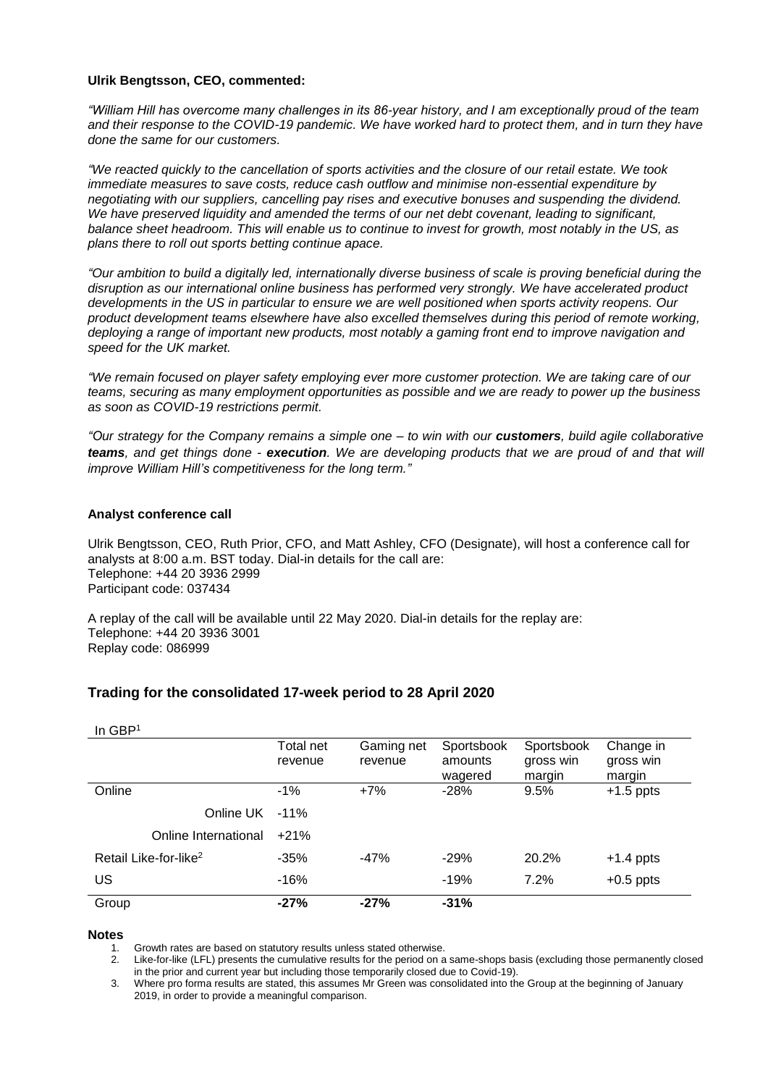#### **Ulrik Bengtsson, CEO, commented:**

*"William Hill has overcome many challenges in its 86-year history, and I am exceptionally proud of the team and their response to the COVID-19 pandemic. We have worked hard to protect them, and in turn they have done the same for our customers.*

*"We reacted quickly to the cancellation of sports activities and the closure of our retail estate. We took immediate measures to save costs, reduce cash outflow and minimise non-essential expenditure by negotiating with our suppliers, cancelling pay rises and executive bonuses and suspending the dividend. We have preserved liquidity and amended the terms of our net debt covenant, leading to significant, balance sheet headroom. This will enable us to continue to invest for growth, most notably in the US, as plans there to roll out sports betting continue apace.*

*"Our ambition to build a digitally led, internationally diverse business of scale is proving beneficial during the disruption as our international online business has performed very strongly. We have accelerated product developments in the US in particular to ensure we are well positioned when sports activity reopens. Our product development teams elsewhere have also excelled themselves during this period of remote working, deploying a range of important new products, most notably a gaming front end to improve navigation and speed for the UK market.*

*"We remain focused on player safety employing ever more customer protection. We are taking care of our teams, securing as many employment opportunities as possible and we are ready to power up the business as soon as COVID-19 restrictions permit.* 

*"Our strategy for the Company remains a simple one – to win with our customers, build agile collaborative teams, and get things done - execution. We are developing products that we are proud of and that will improve William Hill's competitiveness for the long term."*

#### **Analyst conference call**

Ulrik Bengtsson, CEO, Ruth Prior, CFO, and Matt Ashley, CFO (Designate), will host a conference call for analysts at 8:00 a.m. BST today. Dial-in details for the call are: Telephone: +44 20 3936 2999 Participant code: 037434

A replay of the call will be available until 22 May 2020. Dial-in details for the replay are: Telephone: +44 20 3936 3001 Replay code: 086999

# **Trading for the consolidated 17-week period to 28 April 2020**

| Group                             | $-27%$               | $-27%$                | $-31%$                           |                                   |                                  |
|-----------------------------------|----------------------|-----------------------|----------------------------------|-----------------------------------|----------------------------------|
| US                                | $-16%$               |                       | $-19%$                           | 7.2%                              | $+0.5$ ppts                      |
| Retail Like-for-like <sup>2</sup> | $-35%$               | -47%                  | $-29%$                           | 20.2%                             | $+1.4$ ppts                      |
| Online International              | $+21%$               |                       |                                  |                                   |                                  |
| Online UK                         | $-11\%$              |                       |                                  |                                   |                                  |
| Online                            | $-1\%$               | $+7%$                 | $-28%$                           | 9.5%                              | $+1.5$ ppts                      |
|                                   | Total net<br>revenue | Gaming net<br>revenue | Sportsbook<br>amounts<br>wagered | Sportsbook<br>gross win<br>margin | Change in<br>gross win<br>margin |
| In $GBP1$                         |                      |                       |                                  |                                   |                                  |

**Notes** 

Growth rates are based on statutory results unless stated otherwise.

2. Like-for-like (LFL) presents the cumulative results for the period on a same-shops basis (excluding those permanently closed in the prior and current year but including those temporarily closed due to Covid-19).

3. Where pro forma results are stated, this assumes Mr Green was consolidated into the Group at the beginning of January 2019, in order to provide a meaningful comparison.